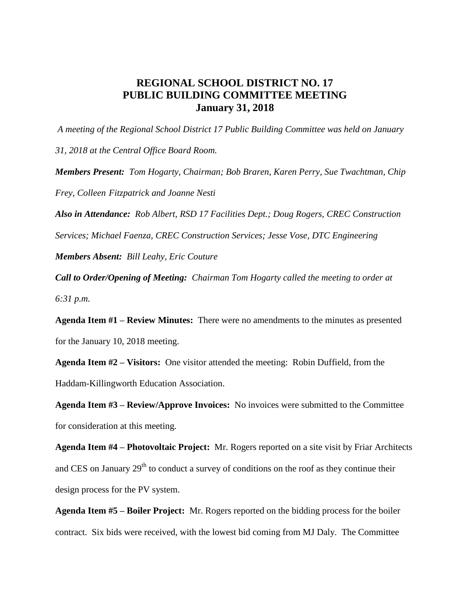## **REGIONAL SCHOOL DISTRICT NO. 17 PUBLIC BUILDING COMMITTEE MEETING January 31, 2018**

*A meeting of the Regional School District 17 Public Building Committee was held on January 31, 2018 at the Central Office Board Room. Members Present: Tom Hogarty, Chairman; Bob Braren, Karen Perry, Sue Twachtman, Chip Frey, Colleen Fitzpatrick and Joanne Nesti Also in Attendance: Rob Albert, RSD 17 Facilities Dept.; Doug Rogers, CREC Construction* 

*Services; Michael Faenza, CREC Construction Services; Jesse Vose, DTC Engineering Members Absent: Bill Leahy, Eric Couture*

*Call to Order/Opening of Meeting: Chairman Tom Hogarty called the meeting to order at 6:31 p.m.*

**Agenda Item #1 – Review Minutes:** There were no amendments to the minutes as presented for the January 10, 2018 meeting.

**Agenda Item #2 – Visitors:** One visitor attended the meeting: Robin Duffield, from the Haddam-Killingworth Education Association.

**Agenda Item #3 – Review/Approve Invoices:** No invoices were submitted to the Committee for consideration at this meeting.

**Agenda Item #4 – Photovoltaic Project:** Mr. Rogers reported on a site visit by Friar Architects and CES on January  $29<sup>th</sup>$  to conduct a survey of conditions on the roof as they continue their design process for the PV system.

**Agenda Item #5 – Boiler Project:** Mr. Rogers reported on the bidding process for the boiler contract. Six bids were received, with the lowest bid coming from MJ Daly. The Committee